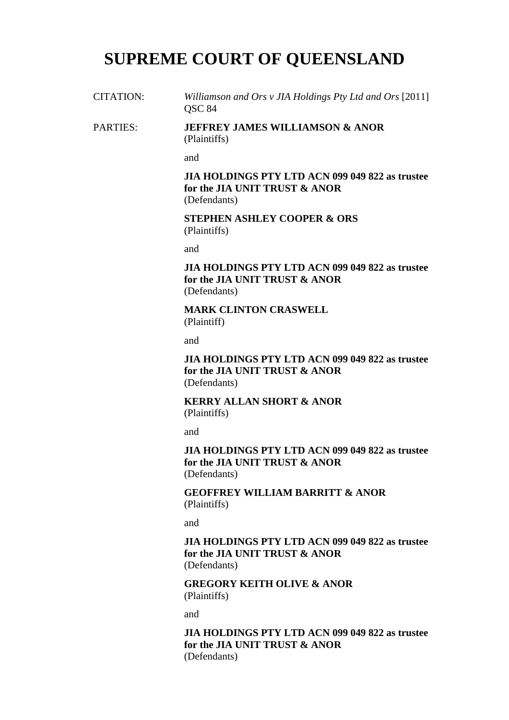# **SUPREME COURT OF QUEENSLAND**

CITATION: *Williamson and Ors v JIA Holdings Pty Ltd and Ors* [2011] QSC 84

PARTIES: **JEFFREY JAMES WILLIAMSON & ANOR**  (Plaintiffs)

and

**JIA HOLDINGS PTY LTD ACN 099 049 822 as trustee for the JIA UNIT TRUST & ANOR**  (Defendants)

**STEPHEN ASHLEY COOPER & ORS**  (Plaintiffs)

and

**JIA HOLDINGS PTY LTD ACN 099 049 822 as trustee for the JIA UNIT TRUST & ANOR**  (Defendants)

**MARK CLINTON CRASWELL**  (Plaintiff)

and

**JIA HOLDINGS PTY LTD ACN 099 049 822 as trustee for the JIA UNIT TRUST & ANOR**  (Defendants)

**KERRY ALLAN SHORT & ANOR**  (Plaintiffs)

and

**JIA HOLDINGS PTY LTD ACN 099 049 822 as trustee for the JIA UNIT TRUST & ANOR**  (Defendants)

**GEOFFREY WILLIAM BARRITT & ANOR**  (Plaintiffs)

and

**JIA HOLDINGS PTY LTD ACN 099 049 822 as trustee for the JIA UNIT TRUST & ANOR**  (Defendants)

**GREGORY KEITH OLIVE & ANOR**  (Plaintiffs)

and

**JIA HOLDINGS PTY LTD ACN 099 049 822 as trustee for the JIA UNIT TRUST & ANOR**  (Defendants)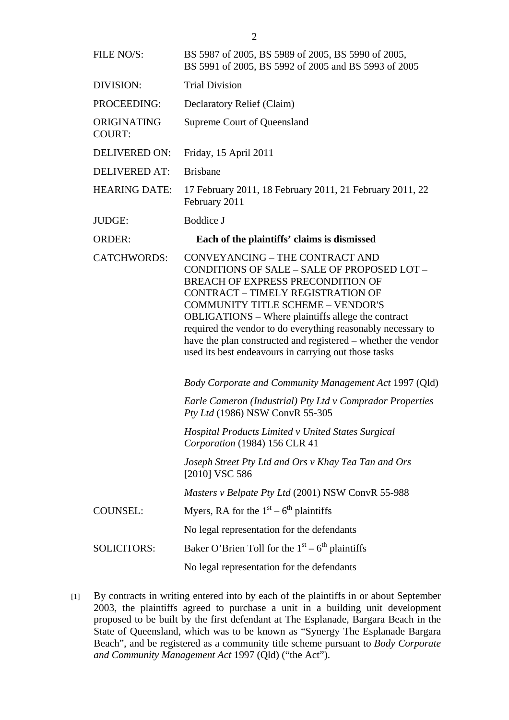| FILE NO/S:                   | BS 5987 of 2005, BS 5989 of 2005, BS 5990 of 2005,<br>BS 5991 of 2005, BS 5992 of 2005 and BS 5993 of 2005                                                                                                                                                                                                                                                                                                                                                        |
|------------------------------|-------------------------------------------------------------------------------------------------------------------------------------------------------------------------------------------------------------------------------------------------------------------------------------------------------------------------------------------------------------------------------------------------------------------------------------------------------------------|
| DIVISION:                    | <b>Trial Division</b>                                                                                                                                                                                                                                                                                                                                                                                                                                             |
| PROCEEDING:                  | Declaratory Relief (Claim)                                                                                                                                                                                                                                                                                                                                                                                                                                        |
| ORIGINATING<br><b>COURT:</b> | Supreme Court of Queensland                                                                                                                                                                                                                                                                                                                                                                                                                                       |
| <b>DELIVERED ON:</b>         | Friday, 15 April 2011                                                                                                                                                                                                                                                                                                                                                                                                                                             |
| <b>DELIVERED AT:</b>         | <b>Brisbane</b>                                                                                                                                                                                                                                                                                                                                                                                                                                                   |
| <b>HEARING DATE:</b>         | 17 February 2011, 18 February 2011, 21 February 2011, 22<br>February 2011                                                                                                                                                                                                                                                                                                                                                                                         |
| <b>JUDGE:</b>                | Boddice J                                                                                                                                                                                                                                                                                                                                                                                                                                                         |
| <b>ORDER:</b>                | Each of the plaintiffs' claims is dismissed                                                                                                                                                                                                                                                                                                                                                                                                                       |
| <b>CATCHWORDS:</b>           | CONVEYANCING - THE CONTRACT AND<br>CONDITIONS OF SALE - SALE OF PROPOSED LOT -<br>BREACH OF EXPRESS PRECONDITION OF<br><b>CONTRACT - TIMELY REGISTRATION OF</b><br><b>COMMUNITY TITLE SCHEME - VENDOR'S</b><br><b>OBLIGATIONS</b> – Where plaintiffs allege the contract<br>required the vendor to do everything reasonably necessary to<br>have the plan constructed and registered – whether the vendor<br>used its best endeavours in carrying out those tasks |
|                              | <b>Body Corporate and Community Management Act 1997 (Qld)</b>                                                                                                                                                                                                                                                                                                                                                                                                     |
|                              | Earle Cameron (Industrial) Pty Ltd v Comprador Properties<br>Pty Ltd (1986) NSW ConvR 55-305                                                                                                                                                                                                                                                                                                                                                                      |
|                              | Hospital Products Limited v United States Surgical<br>Corporation (1984) 156 CLR 41                                                                                                                                                                                                                                                                                                                                                                               |
|                              | Joseph Street Pty Ltd and Ors v Khay Tea Tan and Ors<br>[2010] VSC 586                                                                                                                                                                                                                                                                                                                                                                                            |
|                              | Masters v Belpate Pty Ltd (2001) NSW ConvR 55-988                                                                                                                                                                                                                                                                                                                                                                                                                 |
| <b>COUNSEL:</b>              | Myers, RA for the $1st - 6th$ plaintiffs                                                                                                                                                                                                                                                                                                                                                                                                                          |
|                              | No legal representation for the defendants                                                                                                                                                                                                                                                                                                                                                                                                                        |
| <b>SOLICITORS:</b>           | Baker O'Brien Toll for the $1st - 6th$ plaintiffs                                                                                                                                                                                                                                                                                                                                                                                                                 |
|                              | No legal representation for the defendants                                                                                                                                                                                                                                                                                                                                                                                                                        |

[1] By contracts in writing entered into by each of the plaintiffs in or about September 2003, the plaintiffs agreed to purchase a unit in a building unit development proposed to be built by the first defendant at The Esplanade, Bargara Beach in the State of Queensland, which was to be known as "Synergy The Esplanade Bargara Beach", and be registered as a community title scheme pursuant to *Body Corporate and Community Management Act* 1997 (Qld) ("the Act").

2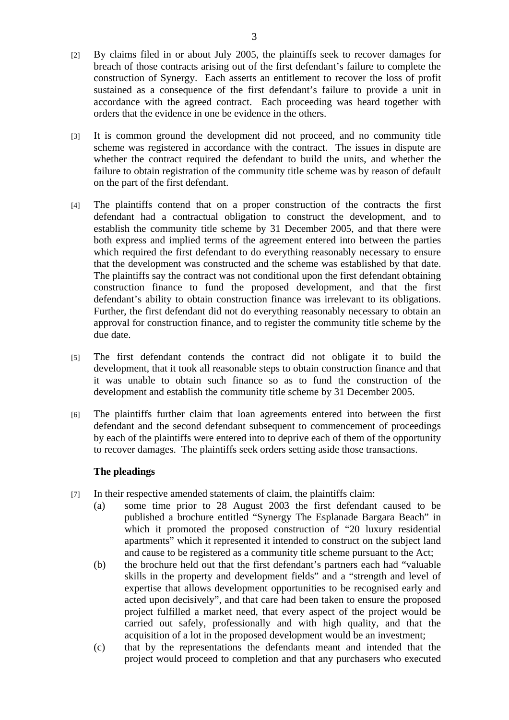- [2] By claims filed in or about July 2005, the plaintiffs seek to recover damages for breach of those contracts arising out of the first defendant's failure to complete the construction of Synergy. Each asserts an entitlement to recover the loss of profit sustained as a consequence of the first defendant's failure to provide a unit in accordance with the agreed contract. Each proceeding was heard together with orders that the evidence in one be evidence in the others.
- [3] It is common ground the development did not proceed, and no community title scheme was registered in accordance with the contract. The issues in dispute are whether the contract required the defendant to build the units, and whether the failure to obtain registration of the community title scheme was by reason of default on the part of the first defendant.
- [4] The plaintiffs contend that on a proper construction of the contracts the first defendant had a contractual obligation to construct the development, and to establish the community title scheme by 31 December 2005, and that there were both express and implied terms of the agreement entered into between the parties which required the first defendant to do everything reasonably necessary to ensure that the development was constructed and the scheme was established by that date. The plaintiffs say the contract was not conditional upon the first defendant obtaining construction finance to fund the proposed development, and that the first defendant's ability to obtain construction finance was irrelevant to its obligations. Further, the first defendant did not do everything reasonably necessary to obtain an approval for construction finance, and to register the community title scheme by the due date.
- [5] The first defendant contends the contract did not obligate it to build the development, that it took all reasonable steps to obtain construction finance and that it was unable to obtain such finance so as to fund the construction of the development and establish the community title scheme by 31 December 2005.
- [6] The plaintiffs further claim that loan agreements entered into between the first defendant and the second defendant subsequent to commencement of proceedings by each of the plaintiffs were entered into to deprive each of them of the opportunity to recover damages. The plaintiffs seek orders setting aside those transactions.

# **The pleadings**

- [7] In their respective amended statements of claim, the plaintiffs claim:
	- (a) some time prior to 28 August 2003 the first defendant caused to be published a brochure entitled "Synergy The Esplanade Bargara Beach" in which it promoted the proposed construction of "20 luxury residential apartments" which it represented it intended to construct on the subject land and cause to be registered as a community title scheme pursuant to the Act;
	- (b) the brochure held out that the first defendant's partners each had "valuable skills in the property and development fields" and a "strength and level of expertise that allows development opportunities to be recognised early and acted upon decisively", and that care had been taken to ensure the proposed project fulfilled a market need, that every aspect of the project would be carried out safely, professionally and with high quality, and that the acquisition of a lot in the proposed development would be an investment;
	- (c) that by the representations the defendants meant and intended that the project would proceed to completion and that any purchasers who executed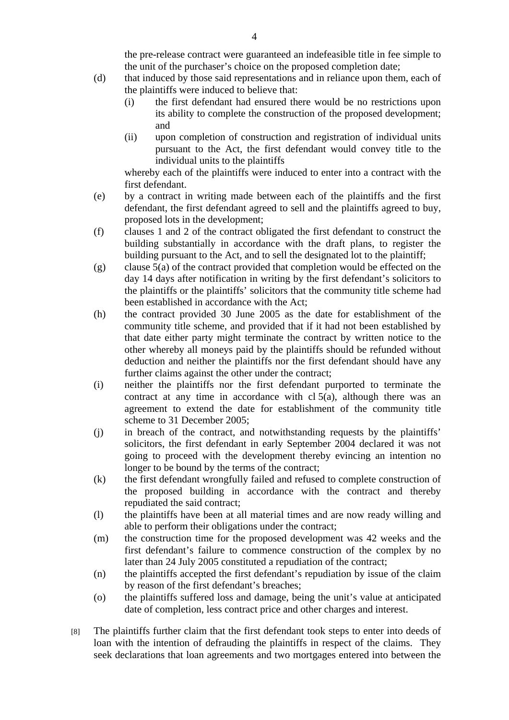the pre-release contract were guaranteed an indefeasible title in fee simple to the unit of the purchaser's choice on the proposed completion date;

- (d) that induced by those said representations and in reliance upon them, each of the plaintiffs were induced to believe that:
	- (i) the first defendant had ensured there would be no restrictions upon its ability to complete the construction of the proposed development; and
	- (ii) upon completion of construction and registration of individual units pursuant to the Act, the first defendant would convey title to the individual units to the plaintiffs

whereby each of the plaintiffs were induced to enter into a contract with the first defendant.

- (e) by a contract in writing made between each of the plaintiffs and the first defendant, the first defendant agreed to sell and the plaintiffs agreed to buy, proposed lots in the development;
- (f) clauses 1 and 2 of the contract obligated the first defendant to construct the building substantially in accordance with the draft plans, to register the building pursuant to the Act, and to sell the designated lot to the plaintiff;
- (g) clause 5(a) of the contract provided that completion would be effected on the day 14 days after notification in writing by the first defendant's solicitors to the plaintiffs or the plaintiffs' solicitors that the community title scheme had been established in accordance with the Act;
- (h) the contract provided 30 June 2005 as the date for establishment of the community title scheme, and provided that if it had not been established by that date either party might terminate the contract by written notice to the other whereby all moneys paid by the plaintiffs should be refunded without deduction and neither the plaintiffs nor the first defendant should have any further claims against the other under the contract;
- (i) neither the plaintiffs nor the first defendant purported to terminate the contract at any time in accordance with  $cl 5(a)$ , although there was an agreement to extend the date for establishment of the community title scheme to 31 December 2005;
- (j) in breach of the contract, and notwithstanding requests by the plaintiffs' solicitors, the first defendant in early September 2004 declared it was not going to proceed with the development thereby evincing an intention no longer to be bound by the terms of the contract;
- (k) the first defendant wrongfully failed and refused to complete construction of the proposed building in accordance with the contract and thereby repudiated the said contract;
- (l) the plaintiffs have been at all material times and are now ready willing and able to perform their obligations under the contract;
- (m) the construction time for the proposed development was 42 weeks and the first defendant's failure to commence construction of the complex by no later than 24 July 2005 constituted a repudiation of the contract;
- (n) the plaintiffs accepted the first defendant's repudiation by issue of the claim by reason of the first defendant's breaches;
- (o) the plaintiffs suffered loss and damage, being the unit's value at anticipated date of completion, less contract price and other charges and interest.
- [8] The plaintiffs further claim that the first defendant took steps to enter into deeds of loan with the intention of defrauding the plaintiffs in respect of the claims. They seek declarations that loan agreements and two mortgages entered into between the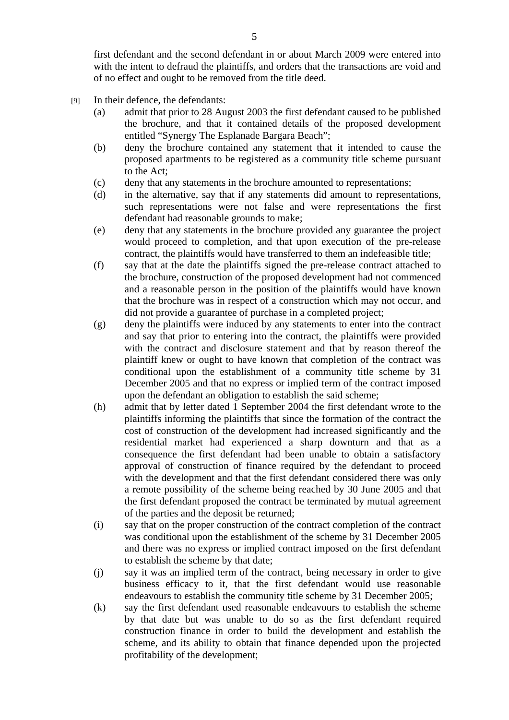first defendant and the second defendant in or about March 2009 were entered into with the intent to defraud the plaintiffs, and orders that the transactions are void and of no effect and ought to be removed from the title deed.

- [9] In their defence, the defendants:
	- (a) admit that prior to 28 August 2003 the first defendant caused to be published the brochure, and that it contained details of the proposed development entitled "Synergy The Esplanade Bargara Beach";
	- (b) deny the brochure contained any statement that it intended to cause the proposed apartments to be registered as a community title scheme pursuant to the Act;
	- (c) deny that any statements in the brochure amounted to representations;
	- (d) in the alternative, say that if any statements did amount to representations, such representations were not false and were representations the first defendant had reasonable grounds to make;
	- (e) deny that any statements in the brochure provided any guarantee the project would proceed to completion, and that upon execution of the pre-release contract, the plaintiffs would have transferred to them an indefeasible title;
	- (f) say that at the date the plaintiffs signed the pre-release contract attached to the brochure, construction of the proposed development had not commenced and a reasonable person in the position of the plaintiffs would have known that the brochure was in respect of a construction which may not occur, and did not provide a guarantee of purchase in a completed project;
	- (g) deny the plaintiffs were induced by any statements to enter into the contract and say that prior to entering into the contract, the plaintiffs were provided with the contract and disclosure statement and that by reason thereof the plaintiff knew or ought to have known that completion of the contract was conditional upon the establishment of a community title scheme by 31 December 2005 and that no express or implied term of the contract imposed upon the defendant an obligation to establish the said scheme;
	- (h) admit that by letter dated 1 September 2004 the first defendant wrote to the plaintiffs informing the plaintiffs that since the formation of the contract the cost of construction of the development had increased significantly and the residential market had experienced a sharp downturn and that as a consequence the first defendant had been unable to obtain a satisfactory approval of construction of finance required by the defendant to proceed with the development and that the first defendant considered there was only a remote possibility of the scheme being reached by 30 June 2005 and that the first defendant proposed the contract be terminated by mutual agreement of the parties and the deposit be returned;
	- (i) say that on the proper construction of the contract completion of the contract was conditional upon the establishment of the scheme by 31 December 2005 and there was no express or implied contract imposed on the first defendant to establish the scheme by that date;
	- (j) say it was an implied term of the contract, being necessary in order to give business efficacy to it, that the first defendant would use reasonable endeavours to establish the community title scheme by 31 December 2005;
	- (k) say the first defendant used reasonable endeavours to establish the scheme by that date but was unable to do so as the first defendant required construction finance in order to build the development and establish the scheme, and its ability to obtain that finance depended upon the projected profitability of the development;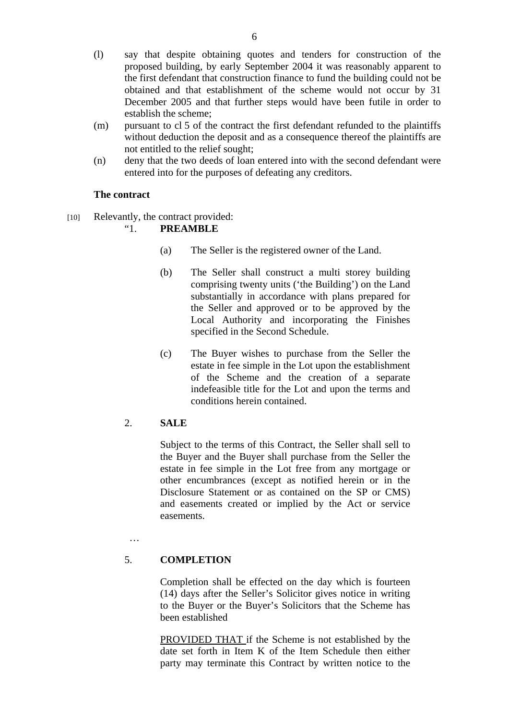- (l) say that despite obtaining quotes and tenders for construction of the proposed building, by early September 2004 it was reasonably apparent to the first defendant that construction finance to fund the building could not be obtained and that establishment of the scheme would not occur by 31 December 2005 and that further steps would have been futile in order to establish the scheme;
- (m) pursuant to cl 5 of the contract the first defendant refunded to the plaintiffs without deduction the deposit and as a consequence thereof the plaintiffs are not entitled to the relief sought;
- (n) deny that the two deeds of loan entered into with the second defendant were entered into for the purposes of defeating any creditors.

# **The contract**

[10] Relevantly, the contract provided:

# "1. **PREAMBLE**

- (a) The Seller is the registered owner of the Land.
- (b) The Seller shall construct a multi storey building comprising twenty units ('the Building') on the Land substantially in accordance with plans prepared for the Seller and approved or to be approved by the Local Authority and incorporating the Finishes specified in the Second Schedule.
- (c) The Buyer wishes to purchase from the Seller the estate in fee simple in the Lot upon the establishment of the Scheme and the creation of a separate indefeasible title for the Lot and upon the terms and conditions herein contained.

# 2. **SALE**

Subject to the terms of this Contract, the Seller shall sell to the Buyer and the Buyer shall purchase from the Seller the estate in fee simple in the Lot free from any mortgage or other encumbrances (except as notified herein or in the Disclosure Statement or as contained on the SP or CMS) and easements created or implied by the Act or service easements.

…

# 5. **COMPLETION**

Completion shall be effected on the day which is fourteen (14) days after the Seller's Solicitor gives notice in writing to the Buyer or the Buyer's Solicitors that the Scheme has been established

PROVIDED THAT if the Scheme is not established by the date set forth in Item K of the Item Schedule then either party may terminate this Contract by written notice to the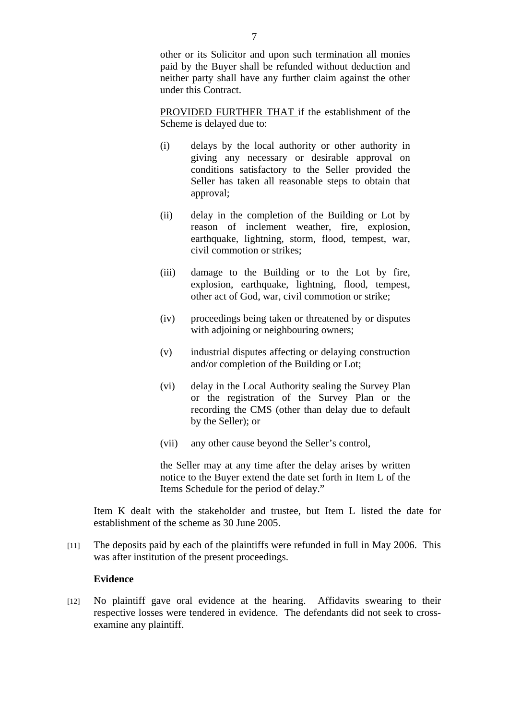other or its Solicitor and upon such termination all monies paid by the Buyer shall be refunded without deduction and neither party shall have any further claim against the other under this Contract.

PROVIDED FURTHER THAT if the establishment of the Scheme is delayed due to:

- (i) delays by the local authority or other authority in giving any necessary or desirable approval on conditions satisfactory to the Seller provided the Seller has taken all reasonable steps to obtain that approval;
- (ii) delay in the completion of the Building or Lot by reason of inclement weather, fire, explosion, earthquake, lightning, storm, flood, tempest, war, civil commotion or strikes;
- (iii) damage to the Building or to the Lot by fire, explosion, earthquake, lightning, flood, tempest, other act of God, war, civil commotion or strike;
- (iv) proceedings being taken or threatened by or disputes with adjoining or neighbouring owners;
- (v) industrial disputes affecting or delaying construction and/or completion of the Building or Lot;
- (vi) delay in the Local Authority sealing the Survey Plan or the registration of the Survey Plan or the recording the CMS (other than delay due to default by the Seller); or
- (vii) any other cause beyond the Seller's control,

the Seller may at any time after the delay arises by written notice to the Buyer extend the date set forth in Item L of the Items Schedule for the period of delay."

Item K dealt with the stakeholder and trustee, but Item L listed the date for establishment of the scheme as 30 June 2005.

[11] The deposits paid by each of the plaintiffs were refunded in full in May 2006. This was after institution of the present proceedings.

#### **Evidence**

[12] No plaintiff gave oral evidence at the hearing. Affidavits swearing to their respective losses were tendered in evidence. The defendants did not seek to crossexamine any plaintiff.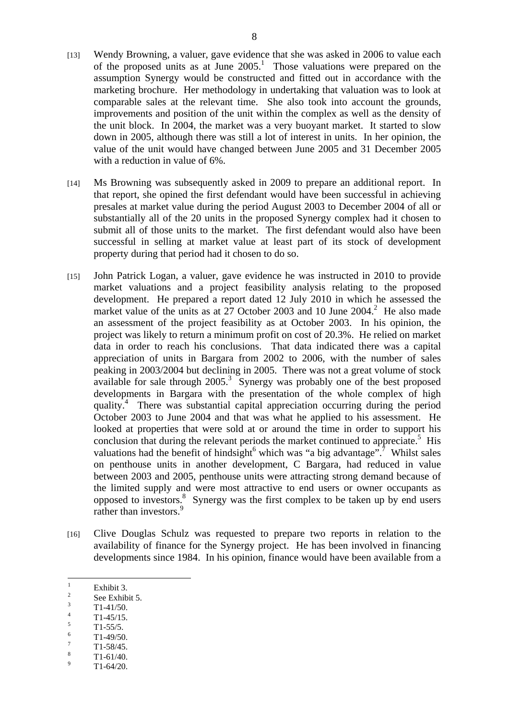- [13] Wendy Browning, a valuer, gave evidence that she was asked in 2006 to value each of the proposed units as at June  $2005$ .<sup>1</sup> Those valuations were prepared on the assumption Synergy would be constructed and fitted out in accordance with the marketing brochure. Her methodology in undertaking that valuation was to look at comparable sales at the relevant time. She also took into account the grounds, improvements and position of the unit within the complex as well as the density of the unit block. In 2004, the market was a very buoyant market. It started to slow down in 2005, although there was still a lot of interest in units. In her opinion, the value of the unit would have changed between June 2005 and 31 December 2005 with a reduction in value of 6%.
- [14] Ms Browning was subsequently asked in 2009 to prepare an additional report. In that report, she opined the first defendant would have been successful in achieving presales at market value during the period August 2003 to December 2004 of all or substantially all of the 20 units in the proposed Synergy complex had it chosen to submit all of those units to the market. The first defendant would also have been successful in selling at market value at least part of its stock of development property during that period had it chosen to do so.
- [15] John Patrick Logan, a valuer, gave evidence he was instructed in 2010 to provide market valuations and a project feasibility analysis relating to the proposed development. He prepared a report dated 12 July 2010 in which he assessed the market value of the units as at  $27$  October 2003 and 10 June 2004.<sup>2</sup> He also made an assessment of the project feasibility as at October 2003. In his opinion, the project was likely to return a minimum profit on cost of 20.3%. He relied on market data in order to reach his conclusions. That data indicated there was a capital appreciation of units in Bargara from 2002 to 2006, with the number of sales peaking in 2003/2004 but declining in 2005. There was not a great volume of stock available for sale through  $2005$ .<sup>3</sup> Synergy was probably one of the best proposed developments in Bargara with the presentation of the whole complex of high quality.4 There was substantial capital appreciation occurring during the period October 2003 to June 2004 and that was what he applied to his assessment. He looked at properties that were sold at or around the time in order to support his conclusion that during the relevant periods the market continued to appreciate.<sup>5</sup> His valuations had the benefit of hindsight<sup>6</sup> which was "a big advantage".<sup>7</sup> Whilst sales on penthouse units in another development, C Bargara, had reduced in value between 2003 and 2005, penthouse units were attracting strong demand because of the limited supply and were most attractive to end users or owner occupants as opposed to investors. $8$  Synergy was the first complex to be taken up by end users rather than investors.<sup>9</sup>
- [16] Clive Douglas Schulz was requested to prepare two reports in relation to the availability of finance for the Synergy project. He has been involved in financing developments since 1984. In his opinion, finance would have been available from a

- 2 See Exhibit 5. 3
- T1-41/50. 4
- T1-45/15. 5
- T1-55/5. 6
- T1-49/50. 7
- T1-58/45. 8
- T1-61/40.  $\alpha$
- T1-64/20.

 $\frac{1}{1}$ Exhibit 3.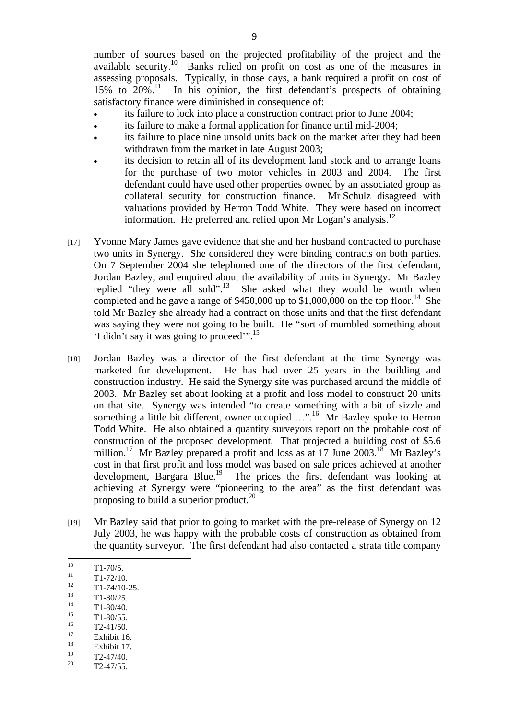number of sources based on the projected profitability of the project and the available security.10 Banks relied on profit on cost as one of the measures in assessing proposals. Typically, in those days, a bank required a profit on cost of 15% to 20%.11 In his opinion, the first defendant's prospects of obtaining satisfactory finance were diminished in consequence of:

- its failure to lock into place a construction contract prior to June 2004;
- its failure to make a formal application for finance until mid-2004;
- its failure to place nine unsold units back on the market after they had been withdrawn from the market in late August 2003;
- its decision to retain all of its development land stock and to arrange loans for the purchase of two motor vehicles in 2003 and 2004. The first defendant could have used other properties owned by an associated group as collateral security for construction finance. Mr Schulz disagreed with valuations provided by Herron Todd White. They were based on incorrect information. He preferred and relied upon Mr Logan's analysis.<sup>12</sup>
- [17] Yvonne Mary James gave evidence that she and her husband contracted to purchase two units in Synergy. She considered they were binding contracts on both parties. On 7 September 2004 she telephoned one of the directors of the first defendant, Jordan Bazley, and enquired about the availability of units in Synergy. Mr Bazley replied "they were all sold".<sup>13</sup> She asked what they would be worth when completed and he gave a range of  $$450,000$  up to  $$1,000,000$  on the top floor.<sup>14</sup> She told Mr Bazley she already had a contract on those units and that the first defendant was saying they were not going to be built. He "sort of mumbled something about 'I didn't say it was going to proceed'".15
- [18] Jordan Bazley was a director of the first defendant at the time Synergy was marketed for development. He has had over 25 years in the building and construction industry. He said the Synergy site was purchased around the middle of 2003. Mr Bazley set about looking at a profit and loss model to construct 20 units on that site. Synergy was intended "to create something with a bit of sizzle and something a little bit different, owner occupied ...".<sup>16</sup> Mr Bazley spoke to Herron Todd White. He also obtained a quantity surveyors report on the probable cost of construction of the proposed development. That projected a building cost of \$5.6 million.<sup>17</sup> Mr Bazley prepared a profit and loss as at 17 June 2003.<sup>18</sup> Mr Bazley's cost in that first profit and loss model was based on sale prices achieved at another development, Bargara Blue.<sup>19</sup> The prices the first defendant was looking at achieving at Synergy were "pioneering to the area" as the first defendant was proposing to build a superior product.<sup>20</sup>
- [19] Mr Bazley said that prior to going to market with the pre-release of Synergy on 12 July 2003, he was happy with the probable costs of construction as obtained from the quantity surveyor. The first defendant had also contacted a strata title company
- $10<sup>10</sup>$  $\frac{10}{11}$  T1-70/5.

- $^{12}$  T1-74/10-25.
- $\frac{13}{14}$  T1-80/25.
- $\frac{14}{15}$  T1-80/40.
- $^{15}$  T1-80/55.
- $16 \qquad T2-41/50.$
- $\frac{17}{18}$  Exhibit 16.
- $18$  Exhibit 17.
- $T2-47/40.$
- $T2 47/55$ .

 $\frac{11}{12}$  T1-72/10.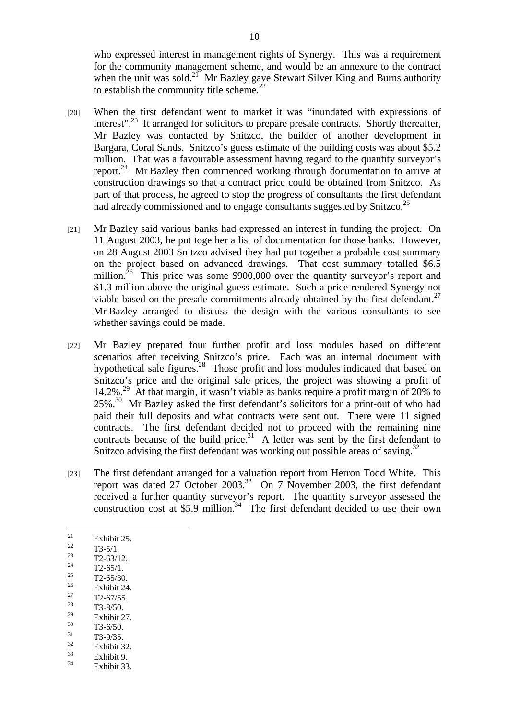who expressed interest in management rights of Synergy. This was a requirement for the community management scheme, and would be an annexure to the contract when the unit was sold.<sup>21</sup> Mr Bazley gave Stewart Silver King and Burns authority to establish the community title scheme. $^{22}$ 

- [20] When the first defendant went to market it was "inundated with expressions of interest".<sup>23</sup> It arranged for solicitors to prepare presale contracts. Shortly thereafter, Mr Bazley was contacted by Snitzco, the builder of another development in Bargara, Coral Sands. Snitzco's guess estimate of the building costs was about \$5.2 million. That was a favourable assessment having regard to the quantity surveyor's report.<sup>24</sup> Mr Bazley then commenced working through documentation to arrive at construction drawings so that a contract price could be obtained from Snitzco. As part of that process, he agreed to stop the progress of consultants the first defendant had already commissioned and to engage consultants suggested by Snitzco.<sup>25</sup>
- [21] Mr Bazley said various banks had expressed an interest in funding the project. On 11 August 2003, he put together a list of documentation for those banks. However, on 28 August 2003 Snitzco advised they had put together a probable cost summary on the project based on advanced drawings. That cost summary totalled \$6.5 million.<sup>26</sup> This price was some \$900,000 over the quantity surveyor's report and \$1.3 million above the original guess estimate. Such a price rendered Synergy not viable based on the presale commitments already obtained by the first defendant.<sup>27</sup> Mr Bazley arranged to discuss the design with the various consultants to see whether savings could be made.
- [22] Mr Bazley prepared four further profit and loss modules based on different scenarios after receiving Snitzco's price. Each was an internal document with hypothetical sale figures.<sup>28</sup> Those profit and loss modules indicated that based on Snitzco's price and the original sale prices, the project was showing a profit of 14.2%.<sup>29</sup> At that margin, it wasn't viable as banks require a profit margin of 20% to  $25\%$ .<sup>30</sup> Mr Bazley asked the first defendant's solicitors for a print-out of who had paid their full deposits and what contracts were sent out. There were 11 signed contracts. The first defendant decided not to proceed with the remaining nine contracts because of the build price. $31$  A letter was sent by the first defendant to Snitzco advising the first defendant was working out possible areas of saving.<sup>32</sup>
- [23] The first defendant arranged for a valuation report from Herron Todd White. This report was dated 27 October 2003.<sup>33</sup> On 7 November 2003, the first defendant received a further quantity surveyor's report. The quantity surveyor assessed the construction cost at  $$5.9$  million.<sup>34</sup> The first defendant decided to use their own
- 21  $\frac{21}{22}$  Exhibit 25.
- $\frac{22}{23}$  T3-5/1.
- $\frac{23}{24}$  T2-63/12.
- $\frac{24}{25}$  T2-65/1.
- $\frac{25}{26}$  T2-65/30.
- $\frac{26}{27}$  Exhibit 24.
- $\frac{27}{28}$  T2-67/55.
- $\frac{28}{29}$  T3-8/50.
- $\frac{29}{30}$  Exhibit 27.
- $\frac{30}{31}$  T3-6/50.  $\frac{31}{32}$  T3-9/35.
- 
- $\frac{32}{33}$  Exhibit 32.  $\frac{33}{34}$  Exhibit 9.
- Exhibit 33.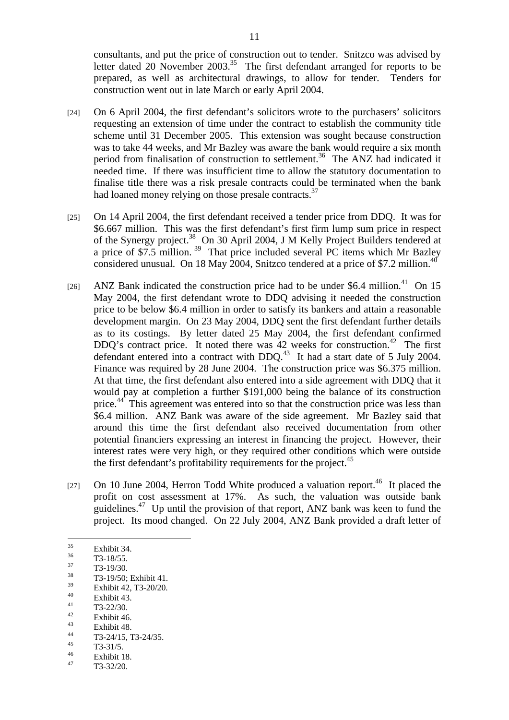consultants, and put the price of construction out to tender. Snitzco was advised by letter dated 20 November 2003.<sup>35</sup> The first defendant arranged for reports to be prepared, as well as architectural drawings, to allow for tender. Tenders for construction went out in late March or early April 2004.

- [24] On 6 April 2004, the first defendant's solicitors wrote to the purchasers' solicitors requesting an extension of time under the contract to establish the community title scheme until 31 December 2005. This extension was sought because construction was to take 44 weeks, and Mr Bazley was aware the bank would require a six month period from finalisation of construction to settlement.<sup>36</sup> The ANZ had indicated it needed time. If there was insufficient time to allow the statutory documentation to finalise title there was a risk presale contracts could be terminated when the bank had loaned money relying on those presale contracts.<sup>37</sup>
- [25] On 14 April 2004, the first defendant received a tender price from DDQ. It was for \$6.667 million. This was the first defendant's first firm lump sum price in respect of the Synergy project.<sup>38</sup> On 30 April 2004, J M Kelly Project Builders tendered at a price of \$7.5 million.  $39$  That price included several PC items which Mr Bazley considered unusual. On 18 May 2004, Snitzco tendered at a price of \$7.2 million.<sup>40</sup>
- [26] ANZ Bank indicated the construction price had to be under \$6.4 million.<sup>41</sup> On 15 May 2004, the first defendant wrote to DDQ advising it needed the construction price to be below \$6.4 million in order to satisfy its bankers and attain a reasonable development margin. On 23 May 2004, DDQ sent the first defendant further details as to its costings. By letter dated 25 May 2004, the first defendant confirmed DDQ's contract price. It noted there was  $42$  weeks for construction.<sup>42</sup> The first defendant entered into a contract with DDQ.43 It had a start date of 5 July 2004. Finance was required by 28 June 2004. The construction price was \$6.375 million. At that time, the first defendant also entered into a side agreement with DDQ that it would pay at completion a further \$191,000 being the balance of its construction price.<sup>44</sup> This agreement was entered into so that the construction price was less than \$6.4 million. ANZ Bank was aware of the side agreement. Mr Bazley said that around this time the first defendant also received documentation from other potential financiers expressing an interest in financing the project. However, their interest rates were very high, or they required other conditions which were outside the first defendant's profitability requirements for the project. $45$
- [27] On 10 June 2004, Herron Todd White produced a valuation report.<sup>46</sup> It placed the profit on cost assessment at 17%. As such, the valuation was outside bank guidelines.<sup>47</sup> Up until the provision of that report, ANZ bank was keen to fund the project. Its mood changed. On 22 July 2004, ANZ Bank provided a draft letter of

 $\frac{37}{38}$  T3-19/30.

- $^{40}$  Exhibit 43.
- $\frac{41}{42}$  T3-22/30.
- $\frac{42}{43}$  Exhibit 46.
- $\frac{43}{44}$  Exhibit 48.
- $T3-24/15$ , T3-24/35.
- $T3-31/5$ .
- $\frac{46}{47}$  Exhibit 18.
- 47 T3-32/20.

 $35$  $rac{35}{36}$  Exhibit 34.

 $\frac{36}{37}$  T3-18/55.

 $^{38}$  T3-19/50; Exhibit 41.

 $\frac{39}{40}$  Exhibit 42, T3-20/20.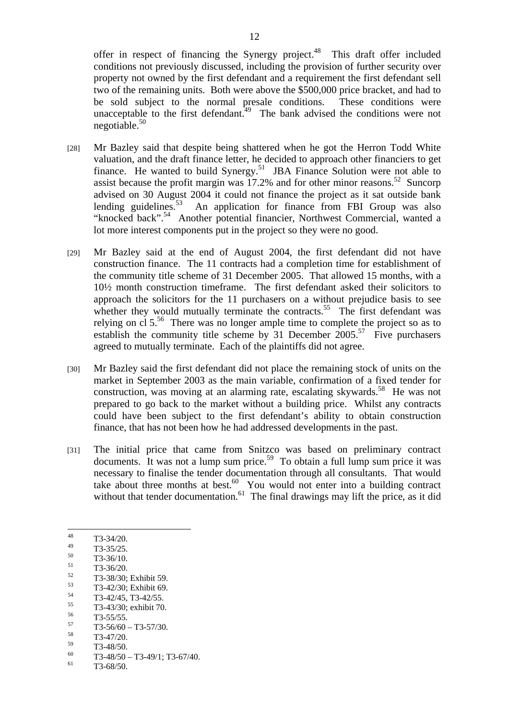offer in respect of financing the Synergy project.<sup>48</sup> This draft offer included conditions not previously discussed, including the provision of further security over property not owned by the first defendant and a requirement the first defendant sell two of the remaining units. Both were above the \$500,000 price bracket, and had to be sold subject to the normal presale conditions. These conditions were unacceptable to the first defendant.<sup>49</sup> The bank advised the conditions were not negotiable. $50$ 

- [28] Mr Bazley said that despite being shattered when he got the Herron Todd White valuation, and the draft finance letter, he decided to approach other financiers to get finance. He wanted to build Synergy.<sup>51</sup> JBA Finance Solution were not able to assist because the profit margin was  $17.2\%$  and for other minor reasons.<sup>52</sup> Suncorp advised on 30 August 2004 it could not finance the project as it sat outside bank lending guidelines.<sup>53</sup> An application for finance from FBI Group was also "knocked back".<sup>54</sup> Another potential financier, Northwest Commercial, wanted a lot more interest components put in the project so they were no good.
- [29] Mr Bazley said at the end of August 2004, the first defendant did not have construction finance. The 11 contracts had a completion time for establishment of the community title scheme of 31 December 2005. That allowed 15 months, with a 10½ month construction timeframe. The first defendant asked their solicitors to approach the solicitors for the 11 purchasers on a without prejudice basis to see whether they would mutually terminate the contracts.<sup>55</sup> The first defendant was relying on cl  $5<sup>56</sup>$ . There was no longer ample time to complete the project so as to establish the community title scheme by 31 December  $2005$ .<sup>57</sup> Five purchasers agreed to mutually terminate. Each of the plaintiffs did not agree.
- [30] Mr Bazley said the first defendant did not place the remaining stock of units on the market in September 2003 as the main variable, confirmation of a fixed tender for construction, was moving at an alarming rate, escalating skywards.<sup>58</sup> He was not prepared to go back to the market without a building price. Whilst any contracts could have been subject to the first defendant's ability to obtain construction finance, that has not been how he had addressed developments in the past.
- [31] The initial price that came from Snitzco was based on preliminary contract documents. It was not a lump sum price.<sup>59</sup> To obtain a full lump sum price it was necessary to finalise the tender documentation through all consultants. That would take about three months at best. $60$  You would not enter into a building contract without that tender documentation. $61$  The final drawings may lift the price, as it did

 $^{59}$  T3-48/50.

 $T3-68/50.$ 

<sup>48</sup>  $\frac{48}{49}$  T3-34/20.

 $^{49}$  T3-35/25.

 $\frac{50}{51}$  T3-36/10.

 $\frac{51}{52}$  T3-36/20.

 $^{52}$  T3-38/30; Exhibit 59.

 $T3-42/30$ ; Exhibit 69.

 $^{54}$  T3-42/45, T3-42/55.  $^{55}$  T3-43/30; exhibit 70.

 $^{56}$  T3-55/55.  $^{57}$  T3-56/60 – T3-57/30.

 $\frac{58}{59}$  T3-47/20.

 $^{60}$  T3-48/50 – T3-49/1; T3-67/40.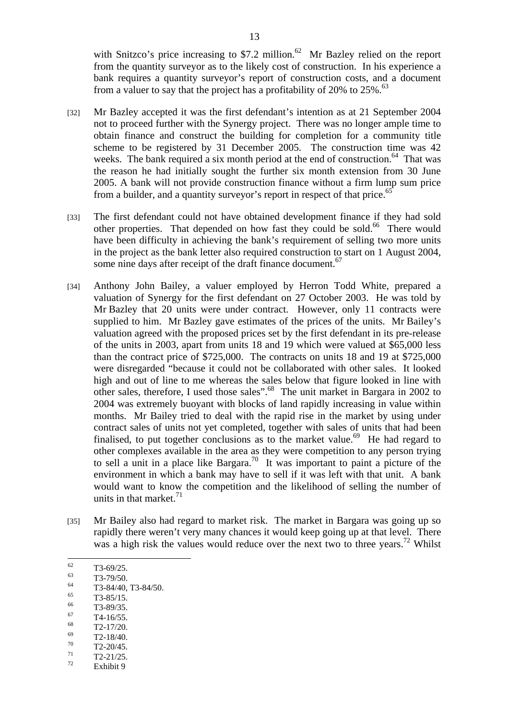with Snitzco's price increasing to \$7.2 million.<sup>62</sup> Mr Bazley relied on the report from the quantity surveyor as to the likely cost of construction. In his experience a bank requires a quantity surveyor's report of construction costs, and a document from a valuer to say that the project has a profitability of  $20\%$  to  $25\%$ .<sup>63</sup>

- [32] Mr Bazley accepted it was the first defendant's intention as at 21 September 2004 not to proceed further with the Synergy project. There was no longer ample time to obtain finance and construct the building for completion for a community title scheme to be registered by 31 December 2005. The construction time was 42 weeks. The bank required a six month period at the end of construction.<sup>64</sup> That was the reason he had initially sought the further six month extension from 30 June 2005. A bank will not provide construction finance without a firm lump sum price from a builder, and a quantity surveyor's report in respect of that price.<sup>65</sup>
- [33] The first defendant could not have obtained development finance if they had sold other properties. That depended on how fast they could be sold.<sup>66</sup> There would have been difficulty in achieving the bank's requirement of selling two more units in the project as the bank letter also required construction to start on 1 August 2004, some nine days after receipt of the draft finance document.<sup>67</sup>
- [34] Anthony John Bailey, a valuer employed by Herron Todd White, prepared a valuation of Synergy for the first defendant on 27 October 2003. He was told by Mr Bazley that 20 units were under contract. However, only 11 contracts were supplied to him. Mr Bazley gave estimates of the prices of the units. Mr Bailey's valuation agreed with the proposed prices set by the first defendant in its pre-release of the units in 2003, apart from units 18 and 19 which were valued at \$65,000 less than the contract price of \$725,000. The contracts on units 18 and 19 at \$725,000 were disregarded "because it could not be collaborated with other sales. It looked high and out of line to me whereas the sales below that figure looked in line with other sales, therefore, I used those sales".68 The unit market in Bargara in 2002 to 2004 was extremely buoyant with blocks of land rapidly increasing in value within months. Mr Bailey tried to deal with the rapid rise in the market by using under contract sales of units not yet completed, together with sales of units that had been finalised, to put together conclusions as to the market value.<sup>69</sup> He had regard to other complexes available in the area as they were competition to any person trying to sell a unit in a place like Bargara.<sup>70</sup> It was important to paint a picture of the environment in which a bank may have to sell if it was left with that unit. A bank would want to know the competition and the likelihood of selling the number of units in that market. $71$
- [35] Mr Bailey also had regard to market risk. The market in Bargara was going up so rapidly there weren't very many chances it would keep going up at that level. There was a high risk the values would reduce over the next two to three years.<sup>72</sup> Whilst
- 62  $\frac{62}{63}$  T3-69/25.

- $\frac{65}{66}$  T3-85/15.
- $\frac{66}{67}$  T3-89/35.
- $\frac{67}{68}$  T4-16/55.
- $\frac{68}{69}$  T2-17/20.
- $\frac{69}{70}$  T2-18/40.
- $^{70}$  T2-20/45.
- $T^1$  T2-21/25.
- Exhibit 9

 $\frac{63}{64}$  T3-79/50.

 $\frac{64}{65}$  T3-84/40, T3-84/50.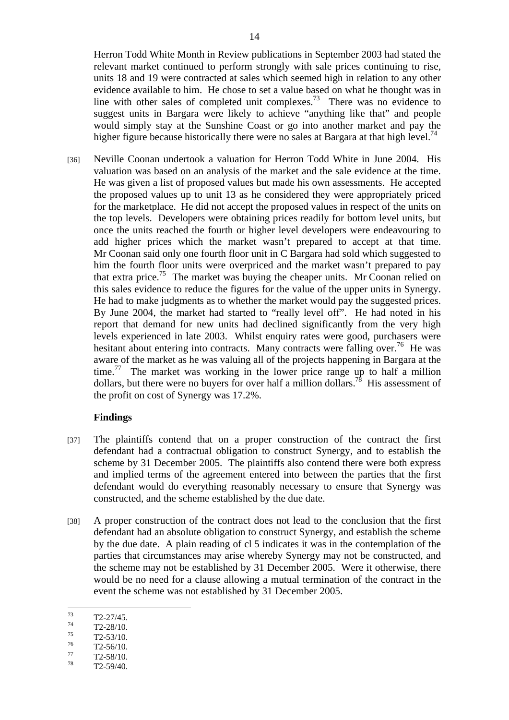Herron Todd White Month in Review publications in September 2003 had stated the relevant market continued to perform strongly with sale prices continuing to rise, units 18 and 19 were contracted at sales which seemed high in relation to any other evidence available to him. He chose to set a value based on what he thought was in line with other sales of completed unit complexes.<sup>73</sup> There was no evidence to suggest units in Bargara were likely to achieve "anything like that" and people would simply stay at the Sunshine Coast or go into another market and pay the higher figure because historically there were no sales at Bargara at that high level.<sup>74</sup>

[36] Neville Coonan undertook a valuation for Herron Todd White in June 2004. His valuation was based on an analysis of the market and the sale evidence at the time. He was given a list of proposed values but made his own assessments. He accepted the proposed values up to unit 13 as he considered they were appropriately priced for the marketplace. He did not accept the proposed values in respect of the units on the top levels. Developers were obtaining prices readily for bottom level units, but once the units reached the fourth or higher level developers were endeavouring to add higher prices which the market wasn't prepared to accept at that time. Mr Coonan said only one fourth floor unit in C Bargara had sold which suggested to him the fourth floor units were overpriced and the market wasn't prepared to pay that extra price.<sup>75</sup> The market was buying the cheaper units. Mr Coonan relied on this sales evidence to reduce the figures for the value of the upper units in Synergy. He had to make judgments as to whether the market would pay the suggested prices. By June 2004, the market had started to "really level off". He had noted in his report that demand for new units had declined significantly from the very high levels experienced in late 2003. Whilst enquiry rates were good, purchasers were hesitant about entering into contracts. Many contracts were falling over.<sup>76</sup> He was aware of the market as he was valuing all of the projects happening in Bargara at the time.<sup>77</sup> The market was working in the lower price range up to half a million dollars, but there were no buyers for over half a million dollars.<sup>78</sup> His assessment of the profit on cost of Synergy was 17.2%.

# **Findings**

- [37] The plaintiffs contend that on a proper construction of the contract the first defendant had a contractual obligation to construct Synergy, and to establish the scheme by 31 December 2005. The plaintiffs also contend there were both express and implied terms of the agreement entered into between the parties that the first defendant would do everything reasonably necessary to ensure that Synergy was constructed, and the scheme established by the due date.
- [38] A proper construction of the contract does not lead to the conclusion that the first defendant had an absolute obligation to construct Synergy, and establish the scheme by the due date. A plain reading of cl 5 indicates it was in the contemplation of the parties that circumstances may arise whereby Synergy may not be constructed, and the scheme may not be established by 31 December 2005. Were it otherwise, there would be no need for a clause allowing a mutual termination of the contract in the event the scheme was not established by 31 December 2005.

- $^{75}$  T2-53/10.
- $^{76}$  T2-56/10.
- $T^{\prime}$  T2-58/10.
- T<sub>2</sub>-59/40.

<sup>73</sup>  $T^3$  T2-27/45.

 $T^4$  T2-28/10.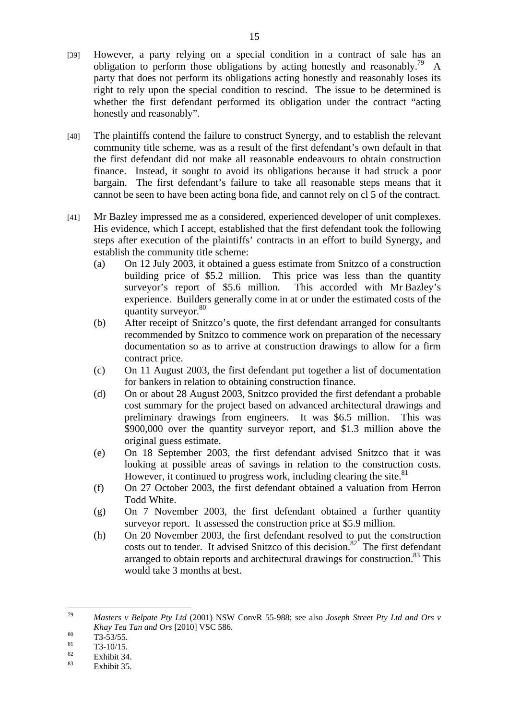- [39] However, a party relying on a special condition in a contract of sale has an obligation to perform those obligations by acting honestly and reasonably.<sup>79</sup> A party that does not perform its obligations acting honestly and reasonably loses its right to rely upon the special condition to rescind. The issue to be determined is whether the first defendant performed its obligation under the contract "acting honestly and reasonably".
- [40] The plaintiffs contend the failure to construct Synergy, and to establish the relevant community title scheme, was as a result of the first defendant's own default in that the first defendant did not make all reasonable endeavours to obtain construction finance. Instead, it sought to avoid its obligations because it had struck a poor bargain. The first defendant's failure to take all reasonable steps means that it cannot be seen to have been acting bona fide, and cannot rely on cl 5 of the contract.
- [41] Mr Bazley impressed me as a considered, experienced developer of unit complexes. His evidence, which I accept, established that the first defendant took the following steps after execution of the plaintiffs' contracts in an effort to build Synergy, and establish the community title scheme:
	- (a) On 12 July 2003, it obtained a guess estimate from Snitzco of a construction building price of \$5.2 million. This price was less than the quantity surveyor's report of \$5.6 million. This accorded with Mr Bazley's experience. Builders generally come in at or under the estimated costs of the quantity surveyor.<sup>80</sup>
	- (b) After receipt of Snitzco's quote, the first defendant arranged for consultants recommended by Snitzco to commence work on preparation of the necessary documentation so as to arrive at construction drawings to allow for a firm contract price.
	- (c) On 11 August 2003, the first defendant put together a list of documentation for bankers in relation to obtaining construction finance.
	- (d) On or about 28 August 2003, Snitzco provided the first defendant a probable cost summary for the project based on advanced architectural drawings and preliminary drawings from engineers. It was \$6.5 million. This was \$900,000 over the quantity surveyor report, and \$1.3 million above the original guess estimate.
	- (e) On 18 September 2003, the first defendant advised Snitzco that it was looking at possible areas of savings in relation to the construction costs. However, it continued to progress work, including clearing the site.<sup>81</sup>
	- (f) On 27 October 2003, the first defendant obtained a valuation from Herron Todd White.
	- (g) On 7 November 2003, the first defendant obtained a further quantity surveyor report. It assessed the construction price at \$5.9 million.
	- (h) On 20 November 2003, the first defendant resolved to put the construction costs out to tender. It advised Snitzco of this decision.<sup>82</sup> The first defendant arranged to obtain reports and architectural drawings for construction.<sup>83</sup> This would take 3 months at best.

<sup>79</sup> 79 *Masters v Belpate Pty Ltd* (2001) NSW ConvR 55-988; see also *Joseph Street Pty Ltd and Ors v Khay Tea Tan and Ors* [2010] VSC 586.<br> **EXECUTE: EXECUTE: EXECUTE: EXECUTE:** 

 $\frac{81}{82}$  T3-10/15.

 $\frac{82}{83}$  Exhibit 34.

Exhibit 35.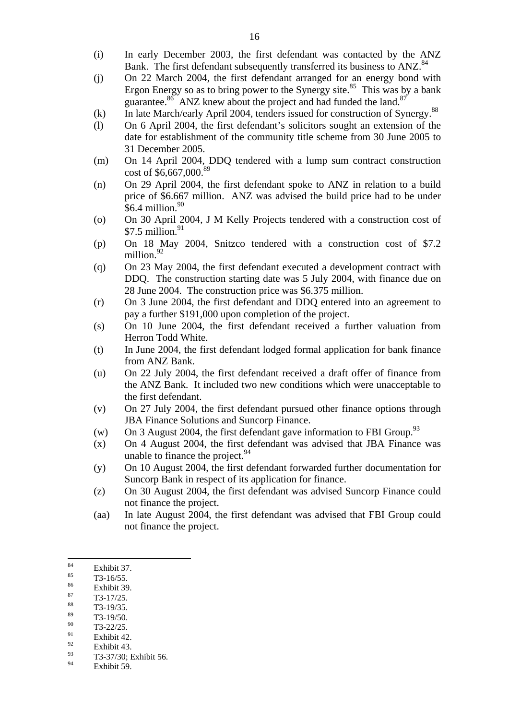- (i) In early December 2003, the first defendant was contacted by the ANZ Bank. The first defendant subsequently transferred its business to ANZ.<sup>84</sup>
- (j) On 22 March 2004, the first defendant arranged for an energy bond with Ergon Energy so as to bring power to the Synergy site.<sup>85</sup> This was by a bank guarantee. $86$  ANZ knew about the project and had funded the land. $87$
- (k) In late March/early April 2004, tenders issued for construction of Synergy.<sup>88</sup>
- (l) On 6 April 2004, the first defendant's solicitors sought an extension of the date for establishment of the community title scheme from 30 June 2005 to 31 December 2005.
- (m) On 14 April 2004, DDQ tendered with a lump sum contract construction cost of \$6,667,000.89
- (n) On 29 April 2004, the first defendant spoke to ANZ in relation to a build price of \$6.667 million. ANZ was advised the build price had to be under  $$6.4$  million.<sup>90</sup>
- (o) On 30 April 2004, J M Kelly Projects tendered with a construction cost of  $$7.5$  million.<sup>91</sup>
- (p) On 18 May 2004, Snitzco tendered with a construction cost of \$7.2 million.<sup>92</sup>
- (q) On 23 May 2004, the first defendant executed a development contract with DDQ. The construction starting date was 5 July 2004, with finance due on 28 June 2004. The construction price was \$6.375 million.
- (r) On 3 June 2004, the first defendant and DDQ entered into an agreement to pay a further \$191,000 upon completion of the project.
- (s) On 10 June 2004, the first defendant received a further valuation from Herron Todd White.
- (t) In June 2004, the first defendant lodged formal application for bank finance from ANZ Bank.
- (u) On 22 July 2004, the first defendant received a draft offer of finance from the ANZ Bank. It included two new conditions which were unacceptable to the first defendant.
- (v) On 27 July 2004, the first defendant pursued other finance options through JBA Finance Solutions and Suncorp Finance.
- (w) On 3 August 2004, the first defendant gave information to FBI Group.<sup>93</sup>
- (x) On 4 August 2004, the first defendant was advised that JBA Finance was unable to finance the project. $94$
- (y) On 10 August 2004, the first defendant forwarded further documentation for Suncorp Bank in respect of its application for finance.
- (z) On 30 August 2004, the first defendant was advised Suncorp Finance could not finance the project.
- (aa) In late August 2004, the first defendant was advised that FBI Group could not finance the project.

- $rac{86}{87}$  Exhibit 39.
- $\frac{87}{88}$  T3-17/25.
- $\frac{88}{89}$  T3-19/35.
- $\frac{89}{90}$  T3-19/50.
- $^{90}$  T3-22/25.
- $^{91}_{92}$  Exhibit 42.
- $\frac{92}{93}$  Exhibit 43.  $^{93}$  T3-37/30; Exhibit 56.
- Exhibit 59.

<sup>84</sup>  $\frac{84}{85}$  Exhibit 37.

 $\frac{85}{86}$  T3-16/55.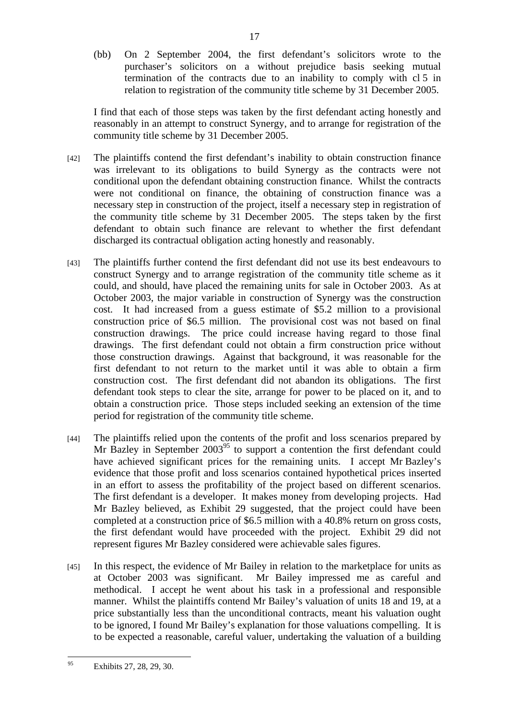(bb) On 2 September 2004, the first defendant's solicitors wrote to the purchaser's solicitors on a without prejudice basis seeking mutual termination of the contracts due to an inability to comply with cl 5 in relation to registration of the community title scheme by 31 December 2005.

I find that each of those steps was taken by the first defendant acting honestly and reasonably in an attempt to construct Synergy, and to arrange for registration of the community title scheme by 31 December 2005.

- [42] The plaintiffs contend the first defendant's inability to obtain construction finance was irrelevant to its obligations to build Synergy as the contracts were not conditional upon the defendant obtaining construction finance. Whilst the contracts were not conditional on finance, the obtaining of construction finance was a necessary step in construction of the project, itself a necessary step in registration of the community title scheme by 31 December 2005. The steps taken by the first defendant to obtain such finance are relevant to whether the first defendant discharged its contractual obligation acting honestly and reasonably.
- [43] The plaintiffs further contend the first defendant did not use its best endeavours to construct Synergy and to arrange registration of the community title scheme as it could, and should, have placed the remaining units for sale in October 2003. As at October 2003, the major variable in construction of Synergy was the construction cost. It had increased from a guess estimate of \$5.2 million to a provisional construction price of \$6.5 million. The provisional cost was not based on final construction drawings. The price could increase having regard to those final drawings. The first defendant could not obtain a firm construction price without those construction drawings. Against that background, it was reasonable for the first defendant to not return to the market until it was able to obtain a firm construction cost. The first defendant did not abandon its obligations. The first defendant took steps to clear the site, arrange for power to be placed on it, and to obtain a construction price. Those steps included seeking an extension of the time period for registration of the community title scheme.
- [44] The plaintiffs relied upon the contents of the profit and loss scenarios prepared by Mr Bazley in September  $2003^{95}$  to support a contention the first defendant could have achieved significant prices for the remaining units. I accept Mr Bazley's evidence that those profit and loss scenarios contained hypothetical prices inserted in an effort to assess the profitability of the project based on different scenarios. The first defendant is a developer. It makes money from developing projects. Had Mr Bazley believed, as Exhibit 29 suggested, that the project could have been completed at a construction price of \$6.5 million with a 40.8% return on gross costs, the first defendant would have proceeded with the project. Exhibit 29 did not represent figures Mr Bazley considered were achievable sales figures.
- [45] In this respect, the evidence of Mr Bailey in relation to the marketplace for units as at October 2003 was significant. Mr Bailey impressed me as careful and methodical. I accept he went about his task in a professional and responsible manner. Whilst the plaintiffs contend Mr Bailey's valuation of units 18 and 19, at a price substantially less than the unconditional contracts, meant his valuation ought to be ignored, I found Mr Bailey's explanation for those valuations compelling. It is to be expected a reasonable, careful valuer, undertaking the valuation of a building

 $05$ Exhibits 27, 28, 29, 30.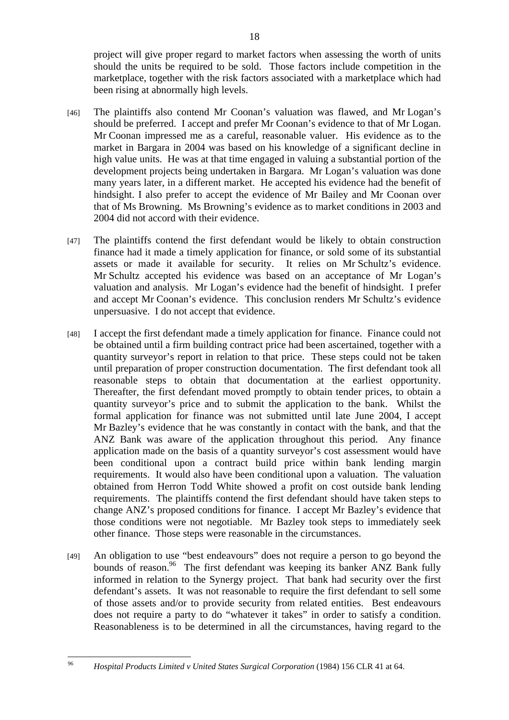project will give proper regard to market factors when assessing the worth of units should the units be required to be sold. Those factors include competition in the marketplace, together with the risk factors associated with a marketplace which had been rising at abnormally high levels.

- [46] The plaintiffs also contend Mr Coonan's valuation was flawed, and Mr Logan's should be preferred. I accept and prefer Mr Coonan's evidence to that of Mr Logan. Mr Coonan impressed me as a careful, reasonable valuer. His evidence as to the market in Bargara in 2004 was based on his knowledge of a significant decline in high value units. He was at that time engaged in valuing a substantial portion of the development projects being undertaken in Bargara. Mr Logan's valuation was done many years later, in a different market. He accepted his evidence had the benefit of hindsight. I also prefer to accept the evidence of Mr Bailey and Mr Coonan over that of Ms Browning. Ms Browning's evidence as to market conditions in 2003 and 2004 did not accord with their evidence.
- [47] The plaintiffs contend the first defendant would be likely to obtain construction finance had it made a timely application for finance, or sold some of its substantial assets or made it available for security. It relies on Mr Schultz's evidence. Mr Schultz accepted his evidence was based on an acceptance of Mr Logan's valuation and analysis. Mr Logan's evidence had the benefit of hindsight. I prefer and accept Mr Coonan's evidence. This conclusion renders Mr Schultz's evidence unpersuasive. I do not accept that evidence.
- [48] I accept the first defendant made a timely application for finance. Finance could not be obtained until a firm building contract price had been ascertained, together with a quantity surveyor's report in relation to that price. These steps could not be taken until preparation of proper construction documentation. The first defendant took all reasonable steps to obtain that documentation at the earliest opportunity. Thereafter, the first defendant moved promptly to obtain tender prices, to obtain a quantity surveyor's price and to submit the application to the bank. Whilst the formal application for finance was not submitted until late June 2004, I accept Mr Bazley's evidence that he was constantly in contact with the bank, and that the ANZ Bank was aware of the application throughout this period. Any finance application made on the basis of a quantity surveyor's cost assessment would have been conditional upon a contract build price within bank lending margin requirements. It would also have been conditional upon a valuation. The valuation obtained from Herron Todd White showed a profit on cost outside bank lending requirements. The plaintiffs contend the first defendant should have taken steps to change ANZ's proposed conditions for finance. I accept Mr Bazley's evidence that those conditions were not negotiable. Mr Bazley took steps to immediately seek other finance. Those steps were reasonable in the circumstances.
- [49] An obligation to use "best endeavours" does not require a person to go beyond the bounds of reason.<sup>96</sup> The first defendant was keeping its banker ANZ Bank fully informed in relation to the Synergy project. That bank had security over the first defendant's assets. It was not reasonable to require the first defendant to sell some of those assets and/or to provide security from related entities. Best endeavours does not require a party to do "whatever it takes" in order to satisfy a condition. Reasonableness is to be determined in all the circumstances, having regard to the

 $06$ 96 *Hospital Products Limited v United States Surgical Corporation* (1984) 156 CLR 41 at 64.